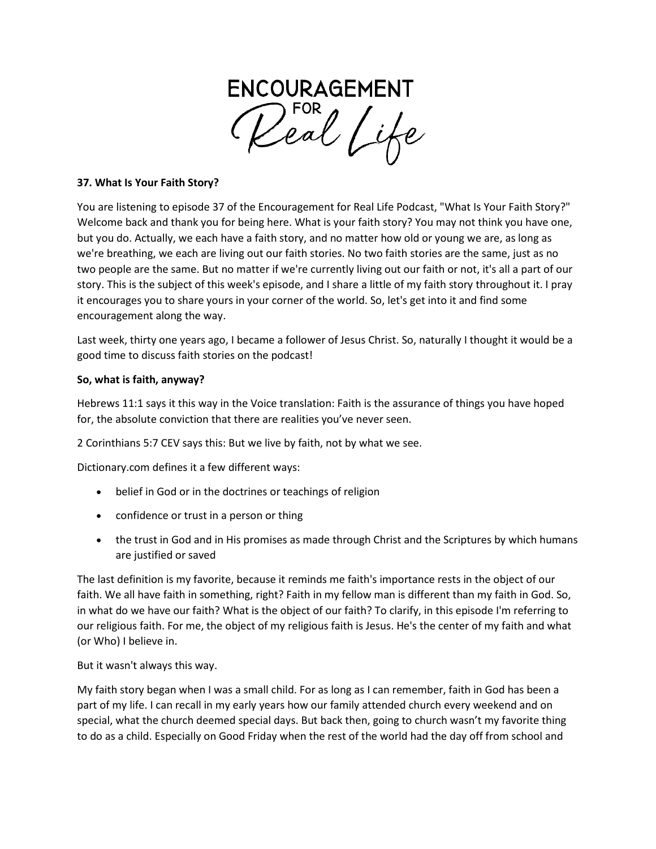

## **37. What Is Your Faith Story?**

You are listening to episode 37 of the Encouragement for Real Life Podcast, "What Is Your Faith Story?" Welcome back and thank you for being here. What is your faith story? You may not think you have one, but you do. Actually, we each have a faith story, and no matter how old or young we are, as long as we're breathing, we each are living out our faith stories. No two faith stories are the same, just as no two people are the same. But no matter if we're currently living out our faith or not, it's all a part of our story. This is the subject of this week's episode, and I share a little of my faith story throughout it. I pray it encourages you to share yours in your corner of the world. So, let's get into it and find some encouragement along the way.

Last week, thirty one years ago, I became a follower of Jesus Christ. So, naturally I thought it would be a good time to discuss faith stories on the podcast!

#### **So, what is faith, anyway?**

Hebrews 11:1 says it this way in the Voice translation: Faith is the assurance of things you have hoped for, the absolute conviction that there are realities you've never seen.

2 Corinthians 5:7 CEV says this: But we live by faith, not by what we see.

Dictionary.com defines it a few different ways:

- belief in God or in the doctrines or teachings of religion
- confidence or trust in a person or thing
- the trust in God and in His promises as made through Christ and the Scriptures by which humans are justified or saved

The last definition is my favorite, because it reminds me faith's importance rests in the object of our faith. We all have faith in something, right? Faith in my fellow man is different than my faith in God. So, in what do we have our faith? What is the object of our faith? To clarify, in this episode I'm referring to our religious faith. For me, the object of my religious faith is Jesus. He's the center of my faith and what (or Who) I believe in.

But it wasn't always this way.

My faith story began when I was a small child. For as long as I can remember, faith in God has been a part of my life. I can recall in my early years how our family attended church every weekend and on special, what the church deemed special days. But back then, going to church wasn't my favorite thing to do as a child. Especially on Good Friday when the rest of the world had the day off from school and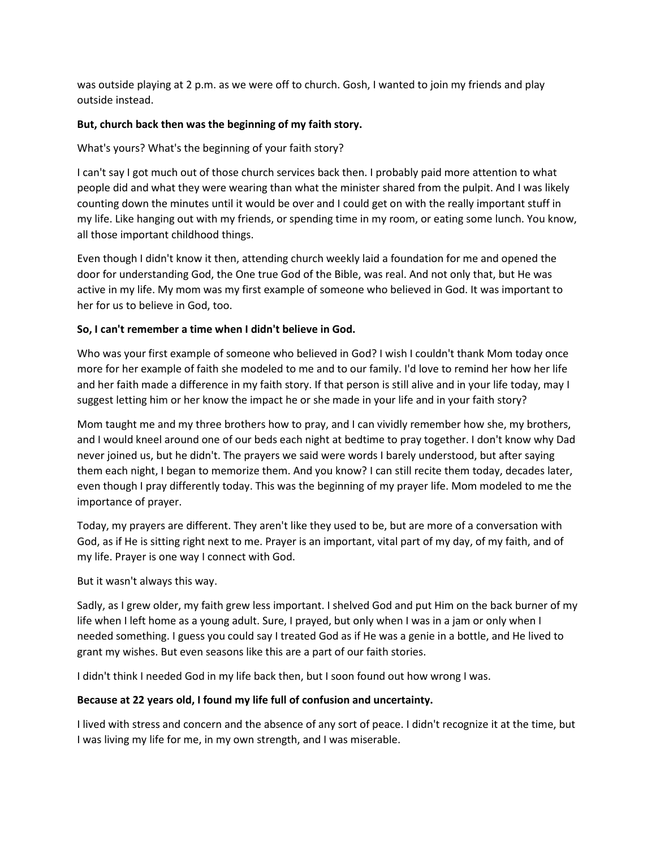was outside playing at 2 p.m. as we were off to church. Gosh, I wanted to join my friends and play outside instead.

## **But, church back then was the beginning of my faith story.**

What's yours? What's the beginning of your faith story?

I can't say I got much out of those church services back then. I probably paid more attention to what people did and what they were wearing than what the minister shared from the pulpit. And I was likely counting down the minutes until it would be over and I could get on with the really important stuff in my life. Like hanging out with my friends, or spending time in my room, or eating some lunch. You know, all those important childhood things.

Even though I didn't know it then, attending church weekly laid a foundation for me and opened the door for understanding God, the One true God of the Bible, was real. And not only that, but He was active in my life. My mom was my first example of someone who believed in God. It was important to her for us to believe in God, too.

### **So, I can't remember a time when I didn't believe in God.**

Who was your first example of someone who believed in God? I wish I couldn't thank Mom today once more for her example of faith she modeled to me and to our family. I'd love to remind her how her life and her faith made a difference in my faith story. If that person is still alive and in your life today, may I suggest letting him or her know the impact he or she made in your life and in your faith story?

Mom taught me and my three brothers how to pray, and I can vividly remember how she, my brothers, and I would kneel around one of our beds each night at bedtime to pray together. I don't know why Dad never joined us, but he didn't. The prayers we said were words I barely understood, but after saying them each night, I began to memorize them. And you know? I can still recite them today, decades later, even though I pray differently today. This was the beginning of my prayer life. Mom modeled to me the importance of prayer.

Today, my prayers are different. They aren't like they used to be, but are more of a conversation with God, as if He is sitting right next to me. Prayer is an important, vital part of my day, of my faith, and of my life. Prayer is one way I connect with God.

But it wasn't always this way.

Sadly, as I grew older, my faith grew less important. I shelved God and put Him on the back burner of my life when I left home as a young adult. Sure, I prayed, but only when I was in a jam or only when I needed something. I guess you could say I treated God as if He was a genie in a bottle, and He lived to grant my wishes. But even seasons like this are a part of our faith stories.

I didn't think I needed God in my life back then, but I soon found out how wrong I was.

#### **Because at 22 years old, I found my life full of confusion and uncertainty.**

I lived with stress and concern and the absence of any sort of peace. I didn't recognize it at the time, but I was living my life for me, in my own strength, and I was miserable.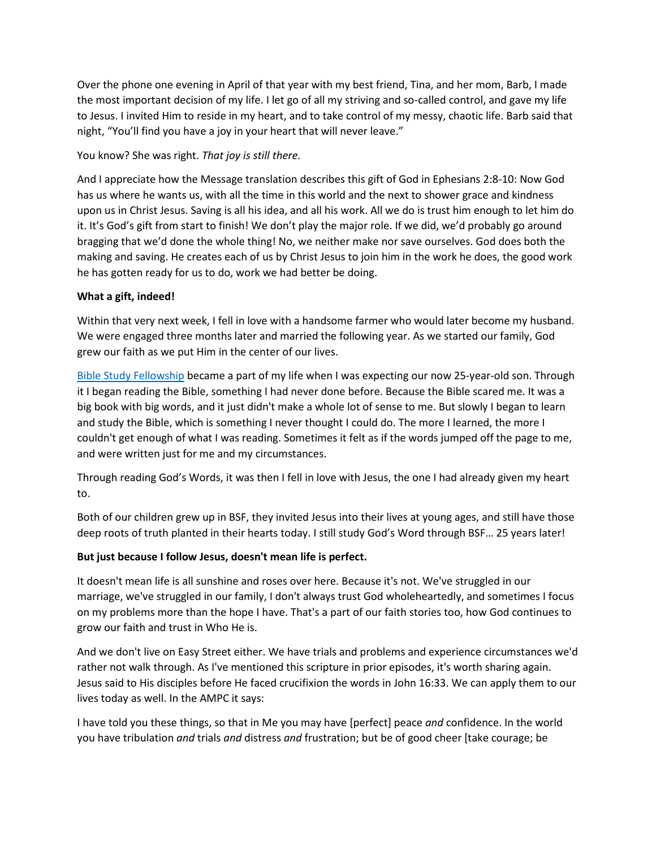Over the phone one evening in April of that year with my best friend, Tina, and her mom, Barb, I made the most important decision of my life. I let go of all my striving and so-called control, and gave my life to Jesus. I invited Him to reside in my heart, and to take control of my messy, chaotic life. Barb said that night, "You'll find you have a joy in your heart that will never leave."

## You know? She was right. *That joy is still there.*

And I appreciate how the Message translation describes this gift of God in Ephesians 2:8-10: Now God has us where he wants us, with all the time in this world and the next to shower grace and kindness upon us in Christ Jesus. Saving is all his idea, and all his work. All we do is trust him enough to let him do it. It's God's gift from start to finish! We don't play the major role. If we did, we'd probably go around bragging that we'd done the whole thing! No, we neither make nor save ourselves. God does both the making and saving. He creates each of us by Christ Jesus to join him in the work he does, the good work he has gotten ready for us to do, work we had better be doing.

### **What a gift, indeed!**

Within that very next week, I fell in love with a handsome farmer who would later become my husband. We were engaged three months later and married the following year. As we started our family, God grew our faith as we put Him in the center of our lives.

[Bible Study Fellowship](http://www.bsfinternational.org/) became a part of my life when I was expecting our now 25-year-old son. Through it I began reading the Bible, something I had never done before. Because the Bible scared me. It was a big book with big words, and it just didn't make a whole lot of sense to me. But slowly I began to learn and study the Bible, which is something I never thought I could do. The more I learned, the more I couldn't get enough of what I was reading. Sometimes it felt as if the words jumped off the page to me, and were written just for me and my circumstances.

Through reading God's Words, it was then I fell in love with Jesus, the one I had already given my heart to.

Both of our children grew up in BSF, they invited Jesus into their lives at young ages, and still have those deep roots of truth planted in their hearts today. I still study God's Word through BSF… 25 years later!

# **But just because I follow Jesus, doesn't mean life is perfect.**

It doesn't mean life is all sunshine and roses over here. Because it's not. We've struggled in our marriage, we've struggled in our family, I don't always trust God wholeheartedly, and sometimes I focus on my problems more than the hope I have. That's a part of our faith stories too, how God continues to grow our faith and trust in Who He is.

And we don't live on Easy Street either. We have trials and problems and experience circumstances we'd rather not walk through. As I've mentioned this scripture in prior episodes, it's worth sharing again. Jesus said to His disciples before He faced crucifixion the words in John 16:33. We can apply them to our lives today as well. In the AMPC it says:

I have told you these things, so that in Me you may have [perfect] peace *and* confidence. In the world you have tribulation *and* trials *and* distress *and* frustration; but be of good cheer [take courage; be